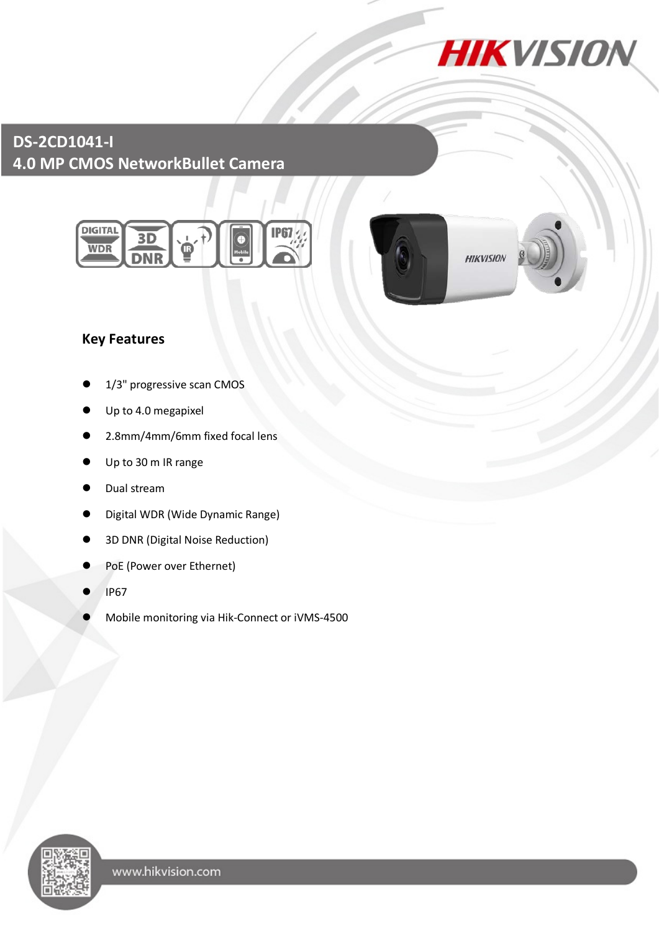

# **DS-2CD1041-I 4.0 MP CMOS NetworkBullet Camera**





**HIKVISION** 

## **Key Features**

- 1/3" progressive scan CMOS
- Up to 4.0 megapixel
- 2.8mm/4mm/6mm fixed focal lens
- Up to 30 m IR range
- Dual stream
- Digital WDR (Wide Dynamic Range)
- 3D DNR (Digital Noise Reduction)
- PoE (Power over Ethernet)
- IP67
- Mobile monitoring via Hik-Connect or iVMS-4500

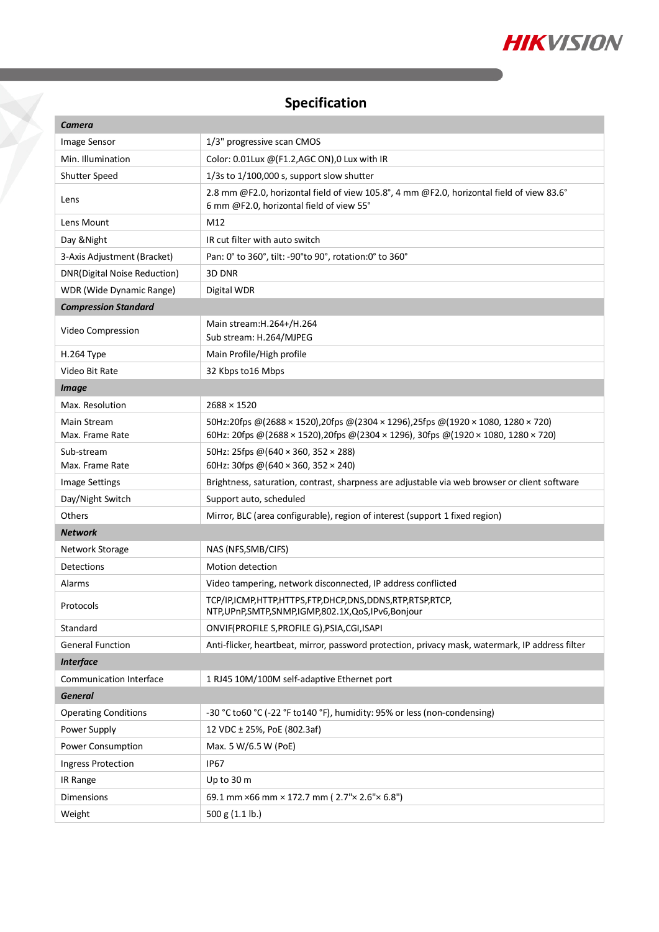

# **Specification**

| Camera                       |                                                                                                                                       |
|------------------------------|---------------------------------------------------------------------------------------------------------------------------------------|
| Image Sensor                 | 1/3" progressive scan CMOS                                                                                                            |
| Min. Illumination            | Color: 0.01Lux @(F1.2,AGC ON),0 Lux with IR                                                                                           |
| <b>Shutter Speed</b>         | $1/3s$ to $1/100,000$ s, support slow shutter                                                                                         |
| Lens                         | 2.8 mm @F2.0, horizontal field of view 105.8°, 4 mm @F2.0, horizontal field of view 83.6°<br>6 mm @F2.0, horizontal field of view 55° |
| Lens Mount                   | M12                                                                                                                                   |
| Day & Night                  | IR cut filter with auto switch                                                                                                        |
| 3-Axis Adjustment (Bracket)  | Pan: 0° to 360°, tilt: -90°to 90°, rotation:0° to 360°                                                                                |
| DNR(Digital Noise Reduction) | 3D DNR                                                                                                                                |
| WDR (Wide Dynamic Range)     | Digital WDR                                                                                                                           |
| <b>Compression Standard</b>  |                                                                                                                                       |
| Video Compression            | Main stream: H.264+/H.264<br>Sub stream: H.264/MJPEG                                                                                  |
| H.264 Type                   | Main Profile/High profile                                                                                                             |
| Video Bit Rate               | 32 Kbps to 16 Mbps                                                                                                                    |
| <b>Image</b>                 |                                                                                                                                       |
| Max. Resolution              | $2688 \times 1520$                                                                                                                    |
| Main Stream                  | 50Hz:20fps @(2688 × 1520),20fps @(2304 × 1296),25fps @(1920 × 1080, 1280 × 720)                                                       |
| Max. Frame Rate              | 60Hz: 20fps @(2688 × 1520), 20fps @(2304 × 1296), 30fps @(1920 × 1080, 1280 × 720)                                                    |
| Sub-stream                   | 50Hz: 25fps @(640 × 360, 352 × 288)                                                                                                   |
| Max. Frame Rate              | 60Hz: 30fps @ (640 × 360, 352 × 240)                                                                                                  |
| <b>Image Settings</b>        | Brightness, saturation, contrast, sharpness are adjustable via web browser or client software                                         |
| Day/Night Switch             | Support auto, scheduled                                                                                                               |
| Others                       | Mirror, BLC (area configurable), region of interest (support 1 fixed region)                                                          |
| <b>Network</b>               |                                                                                                                                       |
| Network Storage              | NAS (NFS, SMB/CIFS)                                                                                                                   |
| Detections                   | Motion detection                                                                                                                      |
| Alarms                       | Video tampering, network disconnected, IP address conflicted                                                                          |
| Protocols                    | TCP/IP,ICMP,HTTP,HTTPS,FTP,DHCP,DNS,DDNS,RTP,RTSP,RTCP,<br>NTP, UPnP, SMTP, SNMP, IGMP, 802.1X, QoS, IPv6, Bonjour                    |
| Standard                     | ONVIF(PROFILE S, PROFILE G), PSIA, CGI, ISAPI                                                                                         |
| <b>General Function</b>      | Anti-flicker, heartbeat, mirror, password protection, privacy mask, watermark, IP address filter                                      |
| <b>Interface</b>             |                                                                                                                                       |
| Communication Interface      | 1 RJ45 10M/100M self-adaptive Ethernet port                                                                                           |
| <b>General</b>               |                                                                                                                                       |
| <b>Operating Conditions</b>  | -30 °C to60 °C (-22 °F to140 °F), humidity: 95% or less (non-condensing)                                                              |
| Power Supply                 | 12 VDC ± 25%, PoE (802.3af)                                                                                                           |
| Power Consumption            | Max. 5 W/6.5 W (PoE)                                                                                                                  |
| <b>Ingress Protection</b>    | <b>IP67</b>                                                                                                                           |
| IR Range                     | Up to 30 m                                                                                                                            |
| Dimensions                   | 69.1 mm ×66 mm × 172.7 mm (2.7"× 2.6"× 6.8")                                                                                          |
| Weight                       | 500 g (1.1 lb.)                                                                                                                       |